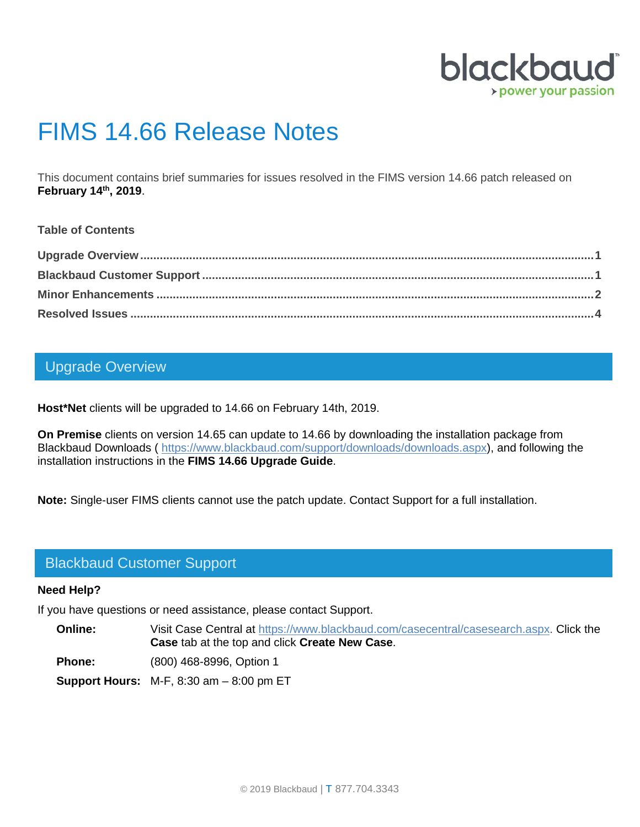

# FIMS 14.66 Release Notes

This document contains brief summaries for issues resolved in the FIMS version 14.66 patch released on **February 14th, 2019**.

#### **Table of Contents**

## <span id="page-0-0"></span>Upgrade Overview

**Host\*Net** clients will be upgraded to 14.66 on February 14th, 2019.

**On Premise** clients on version 14.65 can update to 14.66 by downloading the installation package from Blackbaud Downloads ( [https://www.blackbaud.com/support/downloads/downloads.aspx\)](https://www.blackbaud.com/support/downloads/downloads.aspx), and following the installation instructions in the **FIMS 14.66 Upgrade Guide**.

**Note:** Single-user FIMS clients cannot use the patch update. Contact Support for a full installation.

### <span id="page-0-1"></span>Blackbaud Customer Support

#### **Need Help?**

If you have questions or need assistance, please contact Support.

**Online:** Visit Case Central at [https://www.blackbaud.com/casecentral/casesearch.aspx.](https://www.blackbaud.com/casecentral/casesearch.aspx) Click the **Case** tab at the top and click **Create New Case**.

**Phone:** (800) 468-8996, Option 1

**Support Hours:** M-F, 8:30 am – 8:00 pm ET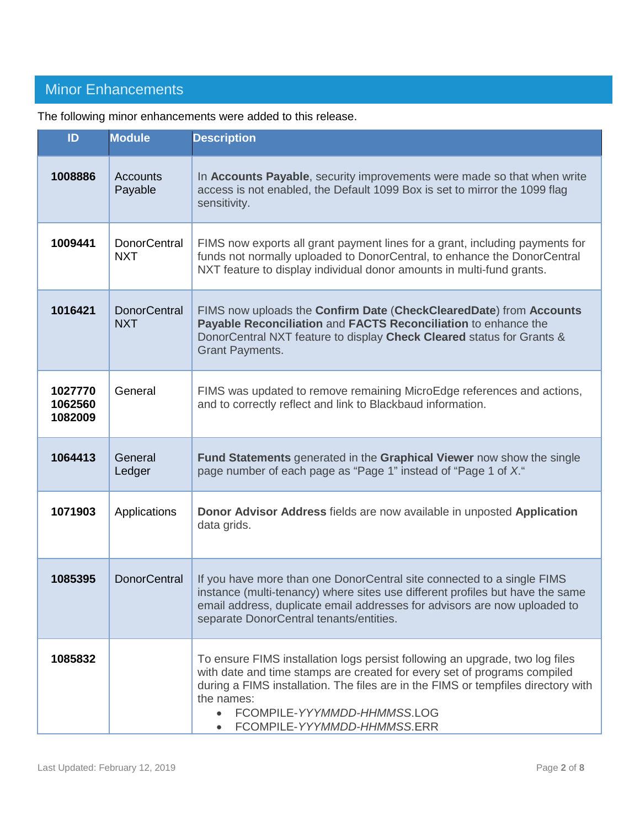# <span id="page-1-0"></span>Minor Enhancements

| ID                            | <b>Module</b>                     | <b>Description</b>                                                                                                                                                                                                                                                                                                        |
|-------------------------------|-----------------------------------|---------------------------------------------------------------------------------------------------------------------------------------------------------------------------------------------------------------------------------------------------------------------------------------------------------------------------|
| 1008886                       | Accounts<br>Payable               | In Accounts Payable, security improvements were made so that when write<br>access is not enabled, the Default 1099 Box is set to mirror the 1099 flag<br>sensitivity.                                                                                                                                                     |
| 1009441                       | <b>DonorCentral</b><br><b>NXT</b> | FIMS now exports all grant payment lines for a grant, including payments for<br>funds not normally uploaded to DonorCentral, to enhance the DonorCentral<br>NXT feature to display individual donor amounts in multi-fund grants.                                                                                         |
| 1016421                       | <b>DonorCentral</b><br><b>NXT</b> | FIMS now uploads the Confirm Date (CheckClearedDate) from Accounts<br>Payable Reconciliation and FACTS Reconciliation to enhance the<br>DonorCentral NXT feature to display Check Cleared status for Grants &<br><b>Grant Payments.</b>                                                                                   |
| 1027770<br>1062560<br>1082009 | General                           | FIMS was updated to remove remaining MicroEdge references and actions,<br>and to correctly reflect and link to Blackbaud information.                                                                                                                                                                                     |
| 1064413                       | General<br>Ledger                 | Fund Statements generated in the Graphical Viewer now show the single<br>page number of each page as "Page 1" instead of "Page 1 of X."                                                                                                                                                                                   |
| 1071903                       | Applications                      | Donor Advisor Address fields are now available in unposted Application<br>data grids.                                                                                                                                                                                                                                     |
| 1085395                       | <b>DonorCentral</b>               | If you have more than one DonorCentral site connected to a single FIMS<br>instance (multi-tenancy) where sites use different profiles but have the same<br>email address, duplicate email addresses for advisors are now uploaded to<br>separate DonorCentral tenants/entities.                                           |
| 1085832                       |                                   | To ensure FIMS installation logs persist following an upgrade, two log files<br>with date and time stamps are created for every set of programs compiled<br>during a FIMS installation. The files are in the FIMS or tempfiles directory with<br>the names:<br>FCOMPILE-YYYMMDD-HHMMSS.LOG<br>FCOMPILE-YYYMMDD-HHMMSS.ERR |

The following minor enhancements were added to this release.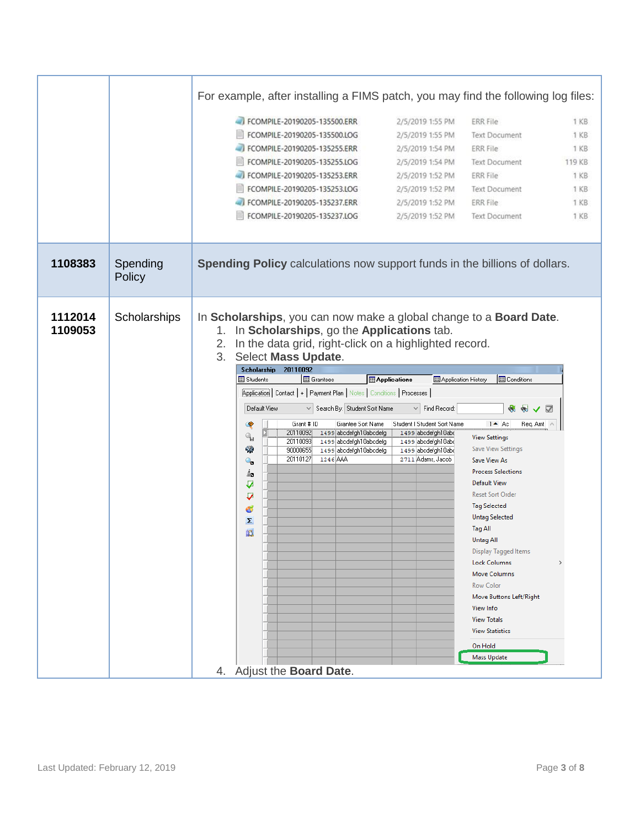|                    |                                    | For example, after installing a FIMS patch, you may find the following log files:                                                                                                                                                                                                                                                                                                                                                                                                                                                                                                                                                                                                                                                                                                                                                                                                                                                                                                                                                                                                                                                                                                                                                                                                                                                                                                                                          |
|--------------------|------------------------------------|----------------------------------------------------------------------------------------------------------------------------------------------------------------------------------------------------------------------------------------------------------------------------------------------------------------------------------------------------------------------------------------------------------------------------------------------------------------------------------------------------------------------------------------------------------------------------------------------------------------------------------------------------------------------------------------------------------------------------------------------------------------------------------------------------------------------------------------------------------------------------------------------------------------------------------------------------------------------------------------------------------------------------------------------------------------------------------------------------------------------------------------------------------------------------------------------------------------------------------------------------------------------------------------------------------------------------------------------------------------------------------------------------------------------------|
|                    |                                    | FCOMPILE-20190205-135500.ERR<br>2/5/2019 1:55 PM<br><b>ERR</b> File<br>1 KB                                                                                                                                                                                                                                                                                                                                                                                                                                                                                                                                                                                                                                                                                                                                                                                                                                                                                                                                                                                                                                                                                                                                                                                                                                                                                                                                                |
|                    |                                    | FCOMPILE-20190205-135500.LOG<br>1 KB<br>2/5/2019 1:55 PM<br><b>Text Document</b>                                                                                                                                                                                                                                                                                                                                                                                                                                                                                                                                                                                                                                                                                                                                                                                                                                                                                                                                                                                                                                                                                                                                                                                                                                                                                                                                           |
|                    |                                    | FCOMPILE-20190205-135255.ERR<br><b>ERR</b> File<br>2/5/2019 1:54 PM<br>1 KB                                                                                                                                                                                                                                                                                                                                                                                                                                                                                                                                                                                                                                                                                                                                                                                                                                                                                                                                                                                                                                                                                                                                                                                                                                                                                                                                                |
|                    |                                    | FCOMPILE-20190205-135255.LOG<br>2/5/2019 1:54 PM<br><b>Text Document</b><br>119 KB                                                                                                                                                                                                                                                                                                                                                                                                                                                                                                                                                                                                                                                                                                                                                                                                                                                                                                                                                                                                                                                                                                                                                                                                                                                                                                                                         |
|                    |                                    | FCOMPILE-20190205-135253.ERR<br>2/5/2019 1:52 PM<br><b>ERR</b> File<br>1 KB                                                                                                                                                                                                                                                                                                                                                                                                                                                                                                                                                                                                                                                                                                                                                                                                                                                                                                                                                                                                                                                                                                                                                                                                                                                                                                                                                |
|                    |                                    | FCOMPILE-20190205-135253.LOG<br>2/5/2019 1:52 PM<br><b>Text Document</b><br>1 KB                                                                                                                                                                                                                                                                                                                                                                                                                                                                                                                                                                                                                                                                                                                                                                                                                                                                                                                                                                                                                                                                                                                                                                                                                                                                                                                                           |
|                    |                                    | FCOMPILE-20190205-135237.ERR<br>2/5/2019 1:52 PM<br><b>ERR</b> File<br>1 KB                                                                                                                                                                                                                                                                                                                                                                                                                                                                                                                                                                                                                                                                                                                                                                                                                                                                                                                                                                                                                                                                                                                                                                                                                                                                                                                                                |
|                    |                                    | FCOMPILE-20190205-135237.LOG<br><b>1 KB</b><br>2/5/2019 1:52 PM<br><b>Text Document</b>                                                                                                                                                                                                                                                                                                                                                                                                                                                                                                                                                                                                                                                                                                                                                                                                                                                                                                                                                                                                                                                                                                                                                                                                                                                                                                                                    |
|                    |                                    |                                                                                                                                                                                                                                                                                                                                                                                                                                                                                                                                                                                                                                                                                                                                                                                                                                                                                                                                                                                                                                                                                                                                                                                                                                                                                                                                                                                                                            |
| 1108383<br>1112014 | Spending<br>Policy<br>Scholarships | Spending Policy calculations now support funds in the billions of dollars.<br>In Scholarships, you can now make a global change to a Board Date.                                                                                                                                                                                                                                                                                                                                                                                                                                                                                                                                                                                                                                                                                                                                                                                                                                                                                                                                                                                                                                                                                                                                                                                                                                                                           |
| 1109053            |                                    | 1. In Scholarships, go the Applications tab.<br>In the data grid, right-click on a highlighted record.<br>2.<br>3.<br>Select Mass Update.<br>20110092<br><b>Scholarship</b><br><b>III</b> Grantees<br><b>Applications</b><br>Application History<br><b>III</b> Conditions<br><b>III</b> Students<br>Application   Contact   +   Payment Plan   Notes   Conditions   Processes  <br>V Search By: Student Sort Name<br>$\vee$ Find Record:<br>Default View<br>8<br><b>Red</b><br>▽<br>$\checkmark$<br>Grant # ID<br>Grantee Sort Name<br>Student   Student Sort Name<br>$1 - Ac$<br>◈<br>Req. Amt<br>20110092<br>1499 abcdefgh10abcdefg<br>1499 abcdefgh10abd<br>$\mathcal{C}_{\mathbf{H}}$<br><b>View Settings</b><br>1499 abcdefgh10abcdefg<br>1499 abcdefgh10abd<br>20110093<br>鄂<br>Save View Settings<br>90000655<br>1499 abcdefgh10abcdefg<br>1499 abcdefgh10abd<br>20110127<br>1246 AAA<br>2711 Adams, Jacob<br>Save View As<br>$\mathbf{Q}_{\mathbf{S}}$<br><b>Process Selections</b><br>≟่อ<br><b>Default View</b><br>₽<br><b>Reset Sort Order</b><br>⊽<br><b>Tag Selected</b><br>ත්<br><b>Untag Selected</b><br>$\boldsymbol{\Sigma}$<br>Tag All<br>趋<br><b>Untag All</b><br>Display Tagged Items<br><b>Lock Columns</b><br><b>Move Columns</b><br><b>Row Color</b><br>Move Buttons Left/Right<br>View Info<br><b>View Totals</b><br><b>View Statistics</b><br>On Hold<br>Mass Update<br>4. Adjust the Board Date. |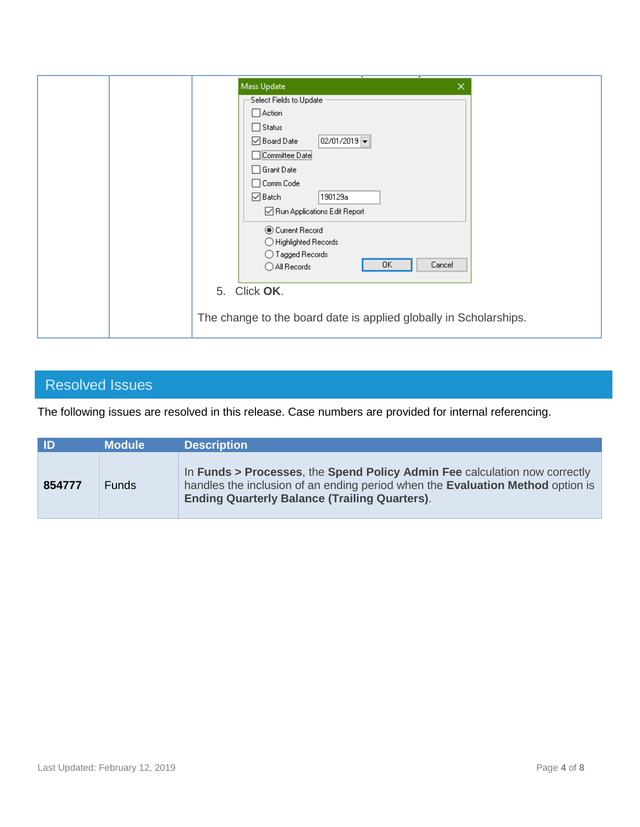|    | Mass Update<br>×                                                                                                                                                                                                                                                                                                   |
|----|--------------------------------------------------------------------------------------------------------------------------------------------------------------------------------------------------------------------------------------------------------------------------------------------------------------------|
|    | Select Fields to Update<br>$\Box$ Action<br>$\Box$ Status<br>02/01/2019<br>⊡ Board Date<br>Committee Date<br>$\Box$ Grant Date<br>□ Comm Code<br>$\boxdot$ Batch<br>190129a<br>Run Applications Edit Report<br>Current Record<br>$\bigcirc$ Highlighted Records<br>◯ Tagged Records<br>Cancel<br>0K<br>All Records |
| 5. | Click OK.                                                                                                                                                                                                                                                                                                          |
|    | The change to the board date is applied globally in Scholarships.                                                                                                                                                                                                                                                  |

# <span id="page-3-0"></span>Resolved Issues

The following issues are resolved in this release. Case numbers are provided for internal referencing.

| / ID   | <b>Module</b> | <b>Description</b>                                                                                                                                                                                                          |
|--------|---------------|-----------------------------------------------------------------------------------------------------------------------------------------------------------------------------------------------------------------------------|
| 854777 | <b>Funds</b>  | In Funds > Processes, the Spend Policy Admin Fee calculation now correctly<br>handles the inclusion of an ending period when the <b>Evaluation Method</b> option is<br><b>Ending Quarterly Balance (Trailing Quarters).</b> |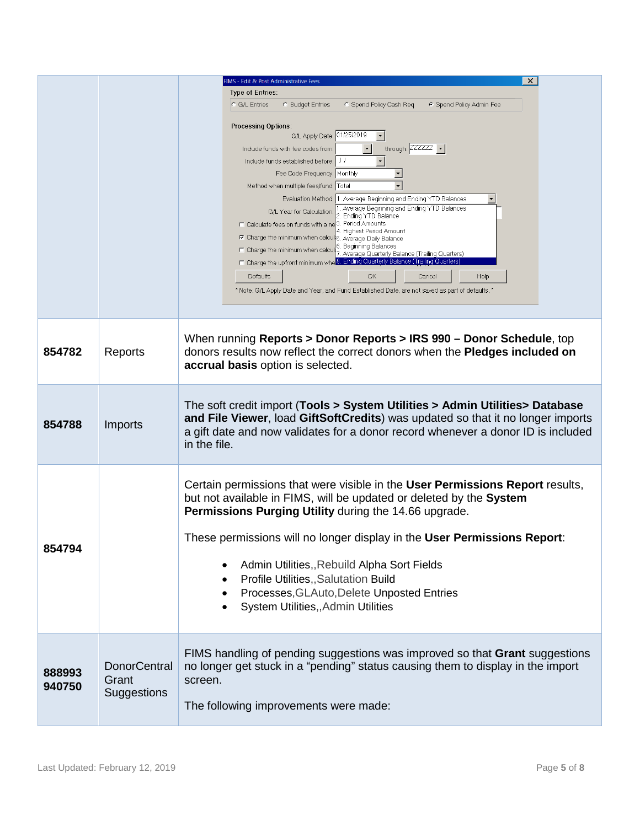|                  |                                             | $\times$<br>FIMS - Edit & Post Administrative Fees<br>Type of Entries:<br>C G/L Entries<br><b>C</b> Budget Entries<br>Spend Policy Admin Fee<br>C Spend Policy Cash Req<br>Processing Options:<br>G/L Apply Date: 01/25/2019<br>$\vert \hspace{0.1cm} \cdot \hspace{0.1cm} \vert$<br>through: $ZZZZZZ$ $\rightarrow$<br>Include funds with fee codes from:<br>Include funds established before:<br>Fee Code Frequency: Monthly<br>$\overline{\phantom{a}}$<br>$\blacktriangledown$<br>Method when multiple fees/fund: Total<br>Evaluation Method: 1. Average Beginning and Ending YTD Balances<br>1. Average Beginning and Ending YTD Balances<br>G/L Year for Calculation:<br>2. Ending YTD Balance<br>□ Calculate fees on funds with a ne 3. Period Amounts<br>4. Highest Period Amount<br>₪ Charge the minimum when calcul 5. Average Daily Balance<br>6. Beginning Balances<br>□ Charge the minimum when calcul<br>7. Average Quarterly Balance (Trailing Quarters)<br>8. Ending Quarterly Balance (Trailing Quarters)<br>IT Charge the upfront minimum wh<br>Defaults<br>OK<br>Cancel<br>Help<br>* Note: G/L Apply Date and Year, and Fund Established Date, are not saved as part of defaults. * |
|------------------|---------------------------------------------|--------------------------------------------------------------------------------------------------------------------------------------------------------------------------------------------------------------------------------------------------------------------------------------------------------------------------------------------------------------------------------------------------------------------------------------------------------------------------------------------------------------------------------------------------------------------------------------------------------------------------------------------------------------------------------------------------------------------------------------------------------------------------------------------------------------------------------------------------------------------------------------------------------------------------------------------------------------------------------------------------------------------------------------------------------------------------------------------------------------------------------------------------------------------------------------------------------|
| 854782           | Reports                                     | When running Reports > Donor Reports > IRS 990 - Donor Schedule, top<br>donors results now reflect the correct donors when the Pledges included on<br>accrual basis option is selected.                                                                                                                                                                                                                                                                                                                                                                                                                                                                                                                                                                                                                                                                                                                                                                                                                                                                                                                                                                                                                |
| 854788           | Imports                                     | The soft credit import (Tools > System Utilities > Admin Utilities > Database<br>and File Viewer, load GiftSoftCredits) was updated so that it no longer imports<br>a gift date and now validates for a donor record whenever a donor ID is included<br>in the file.                                                                                                                                                                                                                                                                                                                                                                                                                                                                                                                                                                                                                                                                                                                                                                                                                                                                                                                                   |
| 854794           |                                             | Certain permissions that were visible in the User Permissions Report results,<br>but not available in FIMS, will be updated or deleted by the System<br>Permissions Purging Utility during the 14.66 upgrade.<br>These permissions will no longer display in the User Permissions Report:<br>Admin Utilities, Rebuild Alpha Sort Fields<br>Profile Utilities,, Salutation Build<br>Processes, GLAuto, Delete Unposted Entries<br>System Utilities,, Admin Utilities                                                                                                                                                                                                                                                                                                                                                                                                                                                                                                                                                                                                                                                                                                                                    |
| 888993<br>940750 | <b>DonorCentral</b><br>Grant<br>Suggestions | FIMS handling of pending suggestions was improved so that Grant suggestions<br>no longer get stuck in a "pending" status causing them to display in the import<br>screen.<br>The following improvements were made:                                                                                                                                                                                                                                                                                                                                                                                                                                                                                                                                                                                                                                                                                                                                                                                                                                                                                                                                                                                     |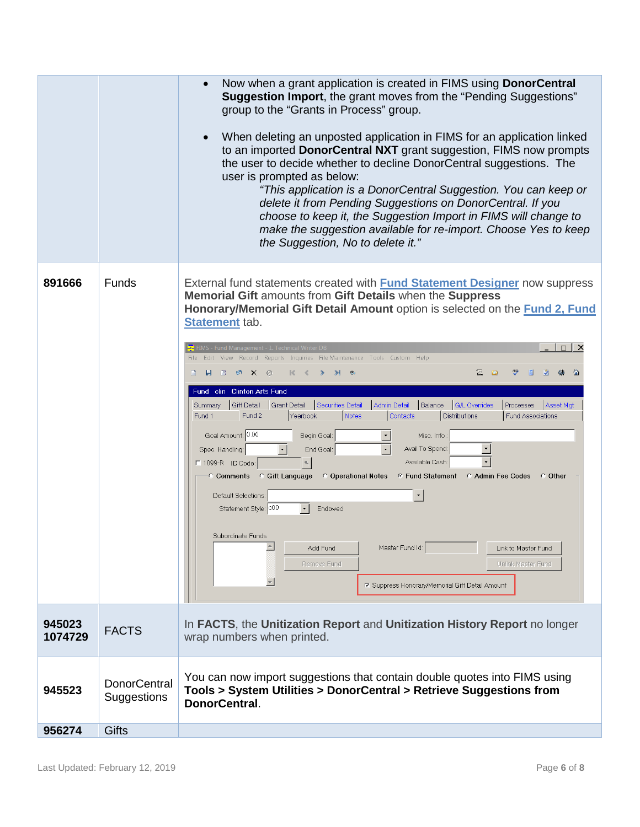|                   |                                    | Now when a grant application is created in FIMS using <b>DonorCentral</b><br><b>Suggestion Import, the grant moves from the "Pending Suggestions"</b><br>group to the "Grants in Process" group.<br>When deleting an unposted application in FIMS for an application linked<br>to an imported DonorCentral NXT grant suggestion, FIMS now prompts<br>the user to decide whether to decline DonorCentral suggestions. The<br>user is prompted as below:<br>"This application is a DonorCentral Suggestion. You can keep or<br>delete it from Pending Suggestions on DonorCentral. If you<br>choose to keep it, the Suggestion Import in FIMS will change to<br>make the suggestion available for re-import. Choose Yes to keep<br>the Suggestion, No to delete it."                                                                                                                                                                                                                                                                                                                                                                                                                                                                                          |
|-------------------|------------------------------------|-------------------------------------------------------------------------------------------------------------------------------------------------------------------------------------------------------------------------------------------------------------------------------------------------------------------------------------------------------------------------------------------------------------------------------------------------------------------------------------------------------------------------------------------------------------------------------------------------------------------------------------------------------------------------------------------------------------------------------------------------------------------------------------------------------------------------------------------------------------------------------------------------------------------------------------------------------------------------------------------------------------------------------------------------------------------------------------------------------------------------------------------------------------------------------------------------------------------------------------------------------------|
| 891666            | Funds                              | External fund statements created with <b>Fund Statement Designer</b> now suppress<br>Memorial Gift amounts from Gift Details when the Suppress<br>Honorary/Memorial Gift Detail Amount option is selected on the Fund 2, Fund<br>Statement tab.<br>FIMS - Fund Management - 1. Technical Writer DB<br>$\Box$ $\Box$<br>File Edit View Record Reports Inquiries File-Maintenance Tools Custom Help<br>$\Box$<br>$\circledast$ $\times$ $\circledcirc$<br>ĸ<br>Fund clin Clinton Arts Fund<br>Securities Detail<br>Admin Detail<br><b>Gift Detail</b><br>Grant Detail<br>Balance<br>G/L Overrides<br>Summary<br>Asset Mgt<br>Processes<br>Fund 2<br><b>Notes</b><br>Contacts<br>Yearbook<br><b>Distributions</b><br>Fund 1<br><b>Fund Associations</b><br>Goal Amount: 0.00<br>Begin Goal:<br>Misc. Info.<br>$\star$<br>Avail To Spend:<br>Spec. Handling:<br>End Goal:<br>Available Cash:<br>E 1099-R ID Code:<br>C Comments C Gift Language<br>C Operational Notes<br>C Fund Statement C Admin Fee Codes<br>C Other<br>$\star$<br>Default Selections:<br>Statement Style: C00<br>Endowed<br>Subordinate Funds<br>Master Fund Id:<br>Add Fund<br>Link to Master Fund<br>Remove Fund<br>Unlink Master Fund<br>☑ Suppress Honorary/Memorial Gift Detail Amount |
| 945023<br>1074729 | <b>FACTS</b>                       | In FACTS, the Unitization Report and Unitization History Report no longer<br>wrap numbers when printed.                                                                                                                                                                                                                                                                                                                                                                                                                                                                                                                                                                                                                                                                                                                                                                                                                                                                                                                                                                                                                                                                                                                                                     |
| 945523            | <b>DonorCentral</b><br>Suggestions | You can now import suggestions that contain double quotes into FIMS using<br>Tools > System Utilities > DonorCentral > Retrieve Suggestions from<br>DonorCentral.                                                                                                                                                                                                                                                                                                                                                                                                                                                                                                                                                                                                                                                                                                                                                                                                                                                                                                                                                                                                                                                                                           |
| 956274            | <b>Gifts</b>                       |                                                                                                                                                                                                                                                                                                                                                                                                                                                                                                                                                                                                                                                                                                                                                                                                                                                                                                                                                                                                                                                                                                                                                                                                                                                             |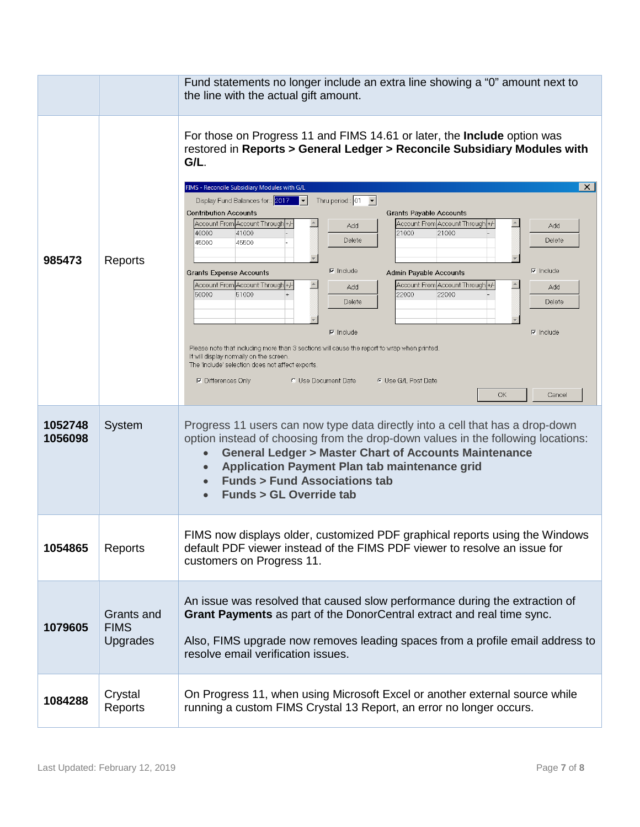|                    |                                       | Fund statements no longer include an extra line showing a "0" amount next to<br>the line with the actual gift amount.                                                                                                                                                                                                                                                                                                                                                                                                                                                                                                                                                                                                                                                                                                                                                                                                                                                                                                                                                                                                                        |
|--------------------|---------------------------------------|----------------------------------------------------------------------------------------------------------------------------------------------------------------------------------------------------------------------------------------------------------------------------------------------------------------------------------------------------------------------------------------------------------------------------------------------------------------------------------------------------------------------------------------------------------------------------------------------------------------------------------------------------------------------------------------------------------------------------------------------------------------------------------------------------------------------------------------------------------------------------------------------------------------------------------------------------------------------------------------------------------------------------------------------------------------------------------------------------------------------------------------------|
| 985473             | Reports                               | For those on Progress 11 and FIMS 14.61 or later, the <b>Include</b> option was<br>restored in Reports > General Ledger > Reconcile Subsidiary Modules with<br>$G/L$ .<br>$\times$<br>FIMS - Reconcile Subsidiary Modules with G/L<br>Thru period: $\boxed{01}$ $\boxed{\bullet}$<br>Display Fund Balances for:: 2017  v<br><b>Contribution Accounts</b><br><b>Grants Payable Accounts</b><br>Account From Account Through +/-<br>Account From Account Through +/-<br>Add<br>Add<br>41000<br>21000<br>40000<br>21000<br>Delete<br>Delete<br>45000<br>45500<br>$\nabla$ Include<br>$\nabla$ Include<br><b>Grants Expense Accounts</b><br>Admin Payable Accounts<br>Account From Account Through +/-<br>Account From Account Through +/-<br>Add<br>Add<br>50000<br>51000<br>22000<br>22000<br>Delete<br>Delete<br>$\nabla$ Include<br>$\nabla$ Include<br>Please note that including more than 3 sections will cause the report to wrap when printed.<br>It will display normally on the screen<br>The 'include' selection does not affect exports.<br><b>▽</b> Differences Only<br>C Use Document Date<br>C Use G/L Post Date<br>OK<br>Cancel |
| 1052748<br>1056098 | System                                | Progress 11 users can now type data directly into a cell that has a drop-down<br>option instead of choosing from the drop-down values in the following locations:<br><b>General Ledger &gt; Master Chart of Accounts Maintenance</b><br>Application Payment Plan tab maintenance grid<br><b>Funds &gt; Fund Associations tab</b><br><b>Funds &gt; GL Override tab</b>                                                                                                                                                                                                                                                                                                                                                                                                                                                                                                                                                                                                                                                                                                                                                                        |
| 1054865            | Reports                               | FIMS now displays older, customized PDF graphical reports using the Windows<br>default PDF viewer instead of the FIMS PDF viewer to resolve an issue for<br>customers on Progress 11.                                                                                                                                                                                                                                                                                                                                                                                                                                                                                                                                                                                                                                                                                                                                                                                                                                                                                                                                                        |
| 1079605            | Grants and<br><b>FIMS</b><br>Upgrades | An issue was resolved that caused slow performance during the extraction of<br>Grant Payments as part of the DonorCentral extract and real time sync.<br>Also, FIMS upgrade now removes leading spaces from a profile email address to<br>resolve email verification issues.                                                                                                                                                                                                                                                                                                                                                                                                                                                                                                                                                                                                                                                                                                                                                                                                                                                                 |
| 1084288            | Crystal<br>Reports                    | On Progress 11, when using Microsoft Excel or another external source while<br>running a custom FIMS Crystal 13 Report, an error no longer occurs.                                                                                                                                                                                                                                                                                                                                                                                                                                                                                                                                                                                                                                                                                                                                                                                                                                                                                                                                                                                           |